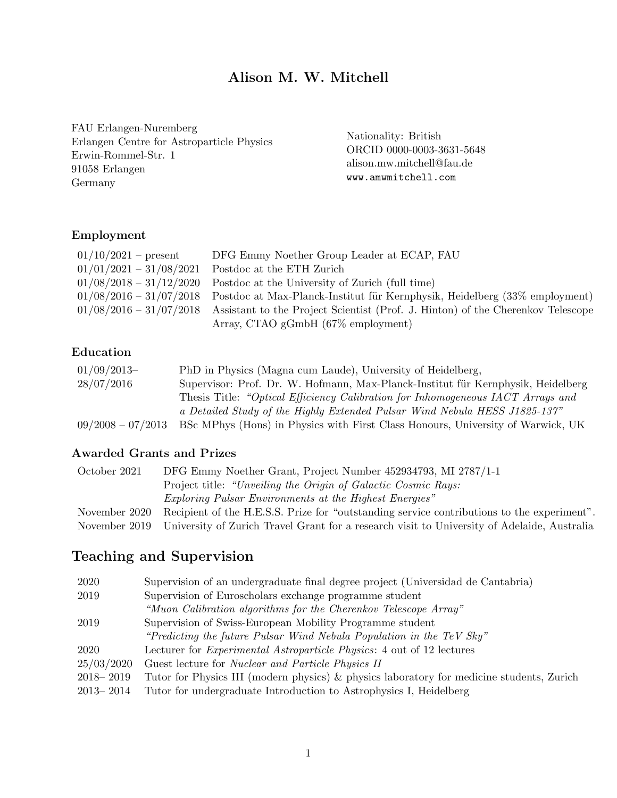# Alison M. W. Mitchell

FAU Erlangen-Nuremberg Erlangen Centre for Astroparticle Physics Erwin-Rommel-Str. 1 91058 Erlangen Germany

Nationality: British ORCID 0000-0003-3631-5648 alison.mw.mitchell@fau.de www.amwmitchell.com

#### Employment

| $01/10/2021$ – present    | DFG Emmy Noether Group Leader at ECAP, FAU                                      |
|---------------------------|---------------------------------------------------------------------------------|
| $01/01/2021 - 31/08/2021$ | Postdoc at the ETH Zurich                                                       |
| $01/08/2018 - 31/12/2020$ | Postdoc at the University of Zurich (full time)                                 |
| $01/08/2016 - 31/07/2018$ | Postdoc at Max-Planck-Institut für Kernphysik, Heidelberg (33% employment)      |
| $01/08/2016 - 31/07/2018$ | Assistant to the Project Scientist (Prof. J. Hinton) of the Cherenkov Telescope |
|                           | Array, CTAO $gGmbH$ (67% employment)                                            |

#### Education

| $01/09/2013-$       | PhD in Physics (Magna cum Laude), University of Heidelberg,                      |
|---------------------|----------------------------------------------------------------------------------|
| 28/07/2016          | Supervisor: Prof. Dr. W. Hofmann, Max-Planck-Institut für Kernphysik, Heidelberg |
|                     | Thesis Title: "Optical Efficiency Calibration for Inhomogeneous IACT Arrays and  |
|                     | a Detailed Study of the Highly Extended Pulsar Wind Nebula HESS J1825-137"       |
| $09/2008 - 07/2013$ | BSc MPhys (Hons) in Physics with First Class Honours, University of Warwick, UK  |

#### Awarded Grants and Prizes

| October 2021  | DFG Emmy Noether Grant, Project Number 452934793, MI 2787/1-1                               |
|---------------|---------------------------------------------------------------------------------------------|
|               | Project title: "Unveiling the Origin of Galactic Cosmic Rays:                               |
|               | <i>Exploring Pulsar Environments at the Highest Energies</i> "                              |
| November 2020 | Recipient of the H.E.S.S. Prize for "outstanding service contributions to the experiment".  |
| November 2019 | University of Zurich Travel Grant for a research visit to University of Adelaide, Australia |
|               |                                                                                             |

# Teaching and Supervision

| 2020          | Supervision of an undergraduate final degree project (Universidad de Cantabria)           |
|---------------|-------------------------------------------------------------------------------------------|
| 2019          | Supervision of Euroscholars exchange programme student                                    |
|               | "Muon Calibration algorithms for the Cherenkov Telescope Array"                           |
| 2019          | Supervision of Swiss-European Mobility Programme student                                  |
|               | "Predicting the future Pulsar Wind Nebula Population in the TeV Sky"                      |
| 2020          | Lecturer for <i>Experimental Astroparticle Physics</i> : 4 out of 12 lectures             |
| 25/03/2020    | Guest lecture for <i>Nuclear and Particle Physics II</i>                                  |
| $2018 - 2019$ | Tutor for Physics III (modern physics) & physics laboratory for medicine students, Zurich |
| $2013 - 2014$ | Tutor for undergraduate Introduction to Astrophysics I, Heidelberg                        |
|               |                                                                                           |